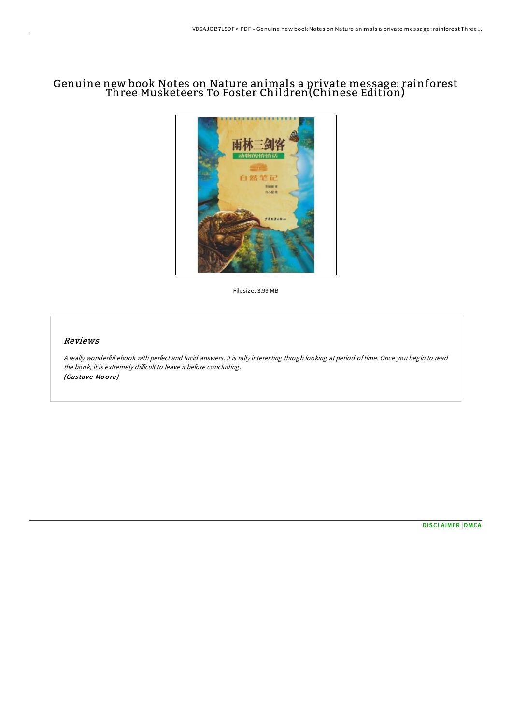## Genuine new book Notes on Nature animals a private message: rainforest Three Musketeers To Foster Children(Chinese Edition)



Filesize: 3.99 MB

## Reviews

<sup>A</sup> really wonderful ebook with perfect and lucid answers. It is rally interesting throgh looking at period oftime. Once you begin to read the book, it is extremely difficult to leave it before concluding. (Gustave Moore)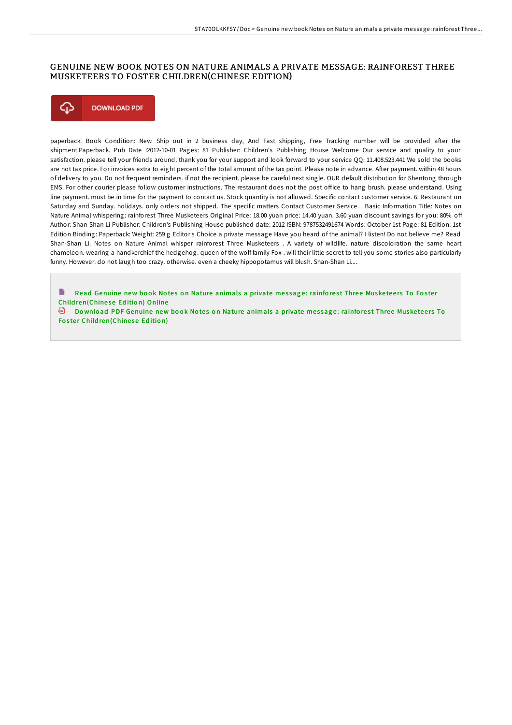## GENUINE NEW BOOK NOTES ON NATURE ANIMALS A PRIVATE MESSAGE: RAINFOREST THREE MUSKETEERS TO FOSTER CHILDREN(CHINESE EDITION)



paperback. Book Condition: New. Ship out in 2 business day, And Fast shipping, Free Tracking number will be provided after the shipment.Paperback. Pub Date :2012-10-01 Pages: 81 Publisher: Children's Publishing House Welcome Our service and quality to your satisfaction. please tell your friends around. thank you for your support and look forward to your service QQ: 11.408.523.441 We sold the books are not tax price. For invoices extra to eight percent of the total amount of the tax point. Please note in advance. After payment. within 48 hours of delivery to you. Do not frequent reminders. if not the recipient. please be careful next single. OUR default distribution for Shentong through EMS. For other courier please follow customer instructions. The restaurant does not the post office to hang brush. please understand. Using line payment. must be in time for the payment to contact us. Stock quantity is not allowed. Specific contact customer service. 6. Restaurant on Saturday and Sunday. holidays. only orders not shipped. The specific matters Contact Customer Service. . Basic Information Title: Notes on Nature Animal whispering: rainforest Three Musketeers Original Price: 18.00 yuan price: 14.40 yuan. 3.60 yuan discount savings for you: 80% off Author: Shan-Shan Li Publisher: Children's Publishing House published date: 2012 ISBN: 9787532491674 Words: October 1st Page: 81 Edition: 1st Edition Binding: Paperback: Weight: 259 g Editor's Choice a private message Have you heard of the animal? I listen! Do not believe me? Read Shan-Shan Li. Notes on Nature Animal whisper rainforest Three Musketeers . A variety of wildlife. nature discoloration the same heart chameleon. wearing a handkerchief the hedgehog. queen of the wolf family Fox . will their little secret to tell you some stories also particularly funny. However. do not laugh too crazy. otherwise. even a cheeky hippopotamus will blush. Shan-Shan Li....

Read Genuine new book Notes on Nature animals a private message: rainforest Three Musketeers To Foster Child[ren\(Chine](http://almighty24.tech/genuine-new-book-notes-on-nature-animals-a-priva-1.html)se Edition) Online

 $\blacksquare$  Download PDF Genuine new book Notes on Nature animals a private message: rainforest Three Musketeers To Foster Child[ren\(Chine](http://almighty24.tech/genuine-new-book-notes-on-nature-animals-a-priva-1.html)se Edition)